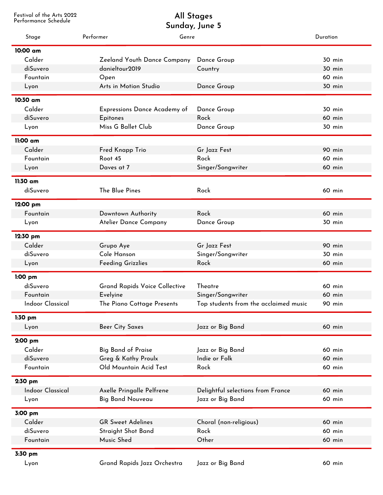Festival of the Arts 2022

## Performance Schedule **Sunday, June 5 All Stages**

| Stage                   | Performer<br>Genre                   |                                       | <b>Duration</b> |
|-------------------------|--------------------------------------|---------------------------------------|-----------------|
| 10:00 am                |                                      |                                       |                 |
| Calder                  | Zeeland Youth Dance Company          | Dance Group                           | 30 min          |
| diSuvero                | danieltour2019                       | Country                               | 30 min          |
| Fountain                | Open                                 |                                       | 60 min          |
| Lyon                    | Arts in Motion Studio                | Dance Group                           | 30 min          |
| 10:30 am                |                                      |                                       |                 |
| Calder                  | <b>Expressions Dance Academy of</b>  | Dance Group                           | 30 min          |
| diSuvero                | <b>Epitones</b>                      | Rock                                  | 60 min          |
| Lyon                    | Miss G Ballet Club                   | Dance Group                           | 30 min          |
| 11:00 am                |                                      |                                       |                 |
| Calder                  | Fred Knapp Trio                      | Gr Jazz Fest                          | 90 min          |
| Fountain                | Root 45                              | Rock                                  | 60 min          |
| Lyon                    | Daves at 7                           | Singer/Songwriter                     | 60 min          |
|                         |                                      |                                       |                 |
| 11:30 am                | The Blue Pines                       |                                       |                 |
| diSuvero                |                                      | Rock                                  | 60 min          |
| 12:00 pm                |                                      |                                       |                 |
| Fountain                | Downtown Authority                   | Rock                                  | 60 min          |
| Lyon                    | Atelier Dance Company                | Dance Group                           | 30 min          |
| 12:30 pm                |                                      |                                       |                 |
| Calder                  | Grupo Aye                            | Gr Jazz Fest                          | 90 min          |
| diSuvero                | Cole Hanson                          | Singer/Songwriter                     | 30 min          |
| Lyon                    | <b>Feeding Grizzlies</b>             | Rock                                  | 60 min          |
| $1:00$ pm               |                                      |                                       |                 |
| diSuvero                | <b>Grand Rapids Voice Collective</b> | Theatre                               | 60 min          |
| Fountain                | Evelyine                             | Singer/Songwriter                     | 60 min          |
| <b>Indoor Classical</b> | The Piano Cottage Presents           | Top students from the acclaimed music | 90 min          |
| $1:30$ pm               |                                      |                                       |                 |
| Lyon                    | <b>Beer City Saxes</b>               | Jazz or Big Band                      | 60 min          |
| 2:00 pm                 |                                      |                                       |                 |
| Calder                  | <b>Big Band of Praise</b>            | Jazz or Big Band                      | 60 min          |
| diSuvero                | Greg & Kathy Proulx                  | Indie or Folk                         | 60 min          |
| Fountain                | Old Mountain Acid Test               | Rock                                  | 60 min          |
| 2:30 pm                 |                                      |                                       |                 |
| <b>Indoor Classical</b> | Axelle Pringalle Pelfrene            | Delightful selections from France     | 60 min          |
| Lyon                    | <b>Big Band Nouveau</b>              | Jazz or Big Band                      | 60 min          |
|                         |                                      |                                       |                 |
| 3:00 pm                 |                                      |                                       |                 |
| Calder                  | <b>GR Sweet Adelines</b>             | Choral (non-religious)                | 60 min          |
| diSuvero                | Straight Shot Band                   | Rock                                  | 60 min          |
| Fountain                | Music Shed                           | Other                                 | 60 min          |
| 3:30 pm                 |                                      |                                       |                 |
| Lyon                    | Grand Rapids Jazz Orchestra          | Jazz or Big Band                      | 60 min          |